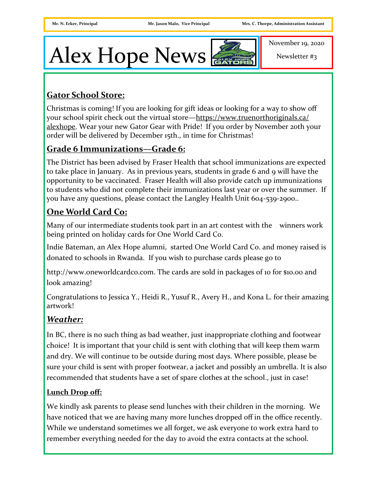# Alex Hope News

November 19, 2020

Newsletter #3

# **Gator School Store:**

Christmas is coming! If you are looking for gift ideas or looking for a way to show off your school spirit check out the virtual store[—https://www.truenorthoriginals.ca/](https://www.truenorthoriginals.ca/alexhope) [alexhope.](https://www.truenorthoriginals.ca/alexhope) Wear your new Gator Gear with Pride! If you order by November 20th your order will be delivered by December 15th., in time for Christmas!

# **Grade 6 Immunizations—Grade 6:**

The District has been advised by Fraser Health that school immunizations are expected to take place in January. As in previous years, students in grade 6 and 9 will have the opportunity to be vaccinated. Fraser Health will also provide catch up immunizations to students who did not complete their immunizations last year or over the summer. If you have any questions, please contact the Langley Health Unit 604-539-2900..

# **One World Card Co:**

Many of our intermediate students took part in an art contest with the winners work being printed on holiday cards for One World Card Co.

Indie Bateman, an Alex Hope alumni, started One World Card Co. and money raised is donated to schools in Rwanda. If you wish to purchase cards please go to

http://www.oneworldcardco.com. The cards are sold in packages of 10 for \$10.00 and look amazing!

Congratulations to Jessica Y., Heidi R., Yusuf R., Avery H., and Kona L. for their amazing artwork!

# *Weather:*

In BC, there is no such thing as bad weather, just inappropriate clothing and footwear choice! It is important that your child is sent with clothing that will keep them warm and dry. We will continue to be outside during most days. Where possible, please be sure your child is sent with proper footwear, a jacket and possibly an umbrella. It is also recommended that students have a set of spare clothes at the school., just in case!

#### **Lunch Drop off:**

We kindly ask parents to please send lunches with their children in the morning. We have noticed that we are having many more lunches dropped off in the office recently. While we understand sometimes we all forget, we ask everyone to work extra hard to remember everything needed for the day to avoid the extra contacts at the school.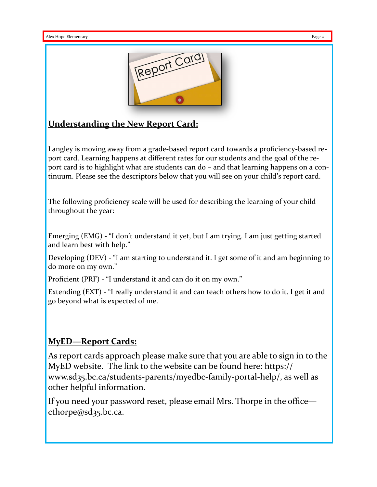

### **Understanding the New Report Card:**

Langley is moving away from a grade-based report card towards a proficiency-based report card. Learning happens at different rates for our students and the goal of the report card is to highlight what are students can do – and that learning happens on a continuum. Please see the descriptors below that you will see on your child's report card.

The following proficiency scale will be used for describing the learning of your child throughout the year:

Emerging (EMG) - "I don't understand it yet, but I am trying. I am just getting started and learn best with help."

Developing (DEV) - "I am starting to understand it. I get some of it and am beginning to do more on my own."

Proficient (PRF) - "I understand it and can do it on my own."

Extending (EXT) - "I really understand it and can teach others how to do it. I get it and go beyond what is expected of me.

#### **MyED—Report Cards:**

As report cards approach please make sure that you are able to sign in to the MyED website. The link to the website can be found here: https:// www.sd35.bc.ca/students-parents/myedbc-family-portal-help/, as well as other helpful information.

If you need your password reset, please email Mrs. Thorpe in the office cthorpe@sd35.bc.ca.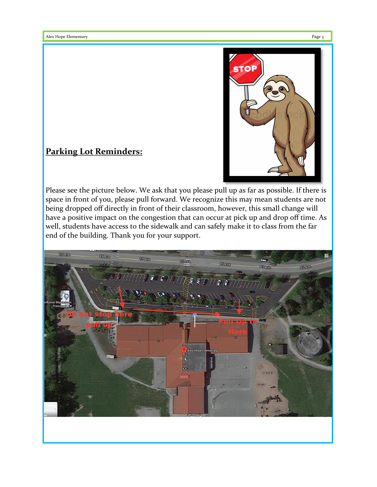

# **Parking Lot Reminders:**

Please see the picture below. We ask that you please pull up as far as possible. If there is space in front of you, please pull forward. We recognize this may mean students are not being dropped off directly in front of their classroom, however, this small change will have a positive impact on the congestion that can occur at pick up and drop off time. As well, students have access to the sidewalk and can safely make it to class from the far end of the building. Thank you for your support.

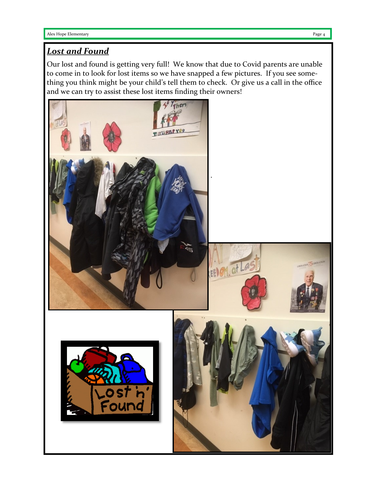### *Lost and Found*

Our lost and found is getting very full! We know that due to Covid parents are unable to come in to look for lost items so we have snapped a few pictures. If you see something you think might be your child's tell them to check. Or give us a call in the office and we can try to assist these lost items finding their owners!

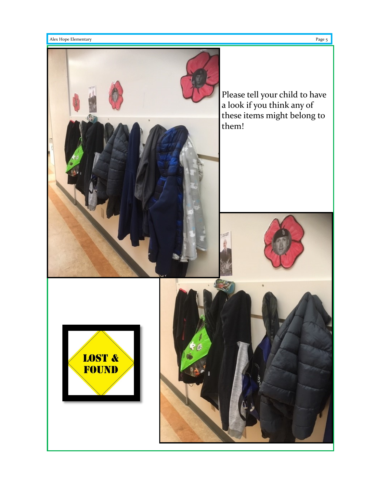